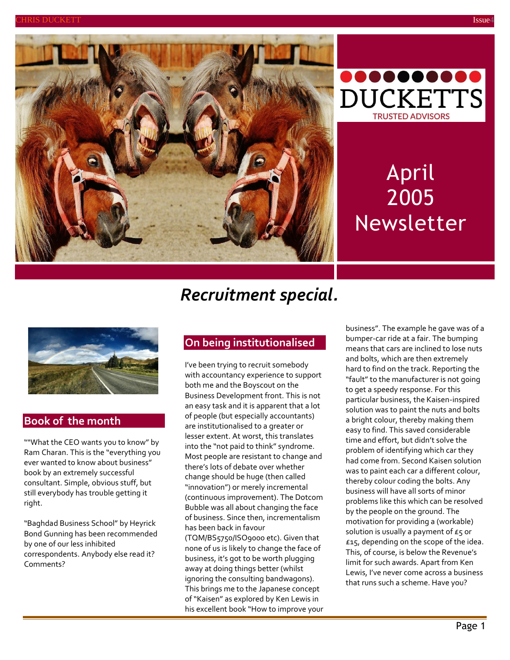



# April 2005 Newsletter

## *Recruitment special.*



### **Book of the month**

""What the CEO wants you to know" by Ram Charan. This is the "everything you ever wanted to know about business" book by an extremely successful consultant. Simple, obvious stuff, but still everybody has trouble getting it right.

"Baghdad Business School" by Heyrick Bond Gunning has been recommended by one of our less inhibited correspondents. Anybody else read it? Comments?

### **On being institutionalised**

I've been trying to recruit somebody with accountancy experience to support both me and the Boyscout on the Business Development front. This is not an easy task and it is apparent that a lot of people (but especially accountants) are institutionalised to a greater or lesser extent. At worst, this translates into the "not paid to think" syndrome. Most people are resistant to change and there's lots of debate over whether change should be huge (then called "innovation") or merely incremental (continuous improvement). The Dotcom Bubble was all about changing the face of business. Since then, incrementalism has been back in favour (TQM/BS5750/ISO9000 etc). Given that

none of us is likely to change the face of business, it's got to be worth plugging away at doing things better (whilst ignoring the consulting bandwagons). This brings me to the Japanese concept of "Kaisen" as explored by Ken Lewis in his excellent book "How to improve your business". The example he gave was of a bumper-car ride at a fair. The bumping means that cars are inclined to lose nuts and bolts, which are then extremely hard to find on the track. Reporting the "fault" to the manufacturer is not going to get a speedy response. For this particular business, the Kaisen-inspired solution was to paint the nuts and bolts a bright colour, thereby making them easy to find. This saved considerable time and effort, but didn't solve the problem of identifying which car they had come from. Second Kaisen solution was to paint each car a different colour, thereby colour coding the bolts. Any business will have all sorts of minor problems like this which can be resolved by the people on the ground. The motivation for providing a (workable) solution is usually a payment of  $E_5$  or £15, depending on the scope of the idea. This, of course, is below the Revenue's limit for such awards. Apart from Ken Lewis, I've never come across a business that runs such a scheme. Have you?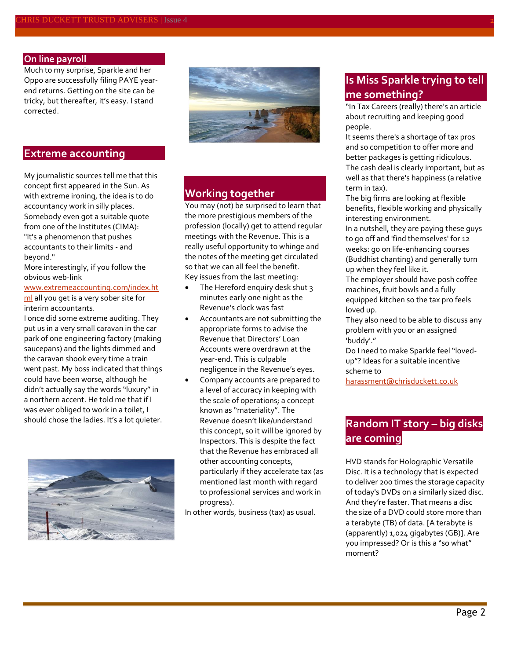#### **On line payroll**

Much to my surprise, Sparkle and her Oppo are successfully filing PAYE yearend returns. Getting on the site can be tricky, but thereafter, it's easy. I stand corrected.

#### **Extreme accounting**

My journalistic sources tell me that this concept first appeared in the Sun. As with extreme ironing, the idea is to do accountancy work in silly places. Somebody even got a suitable quote from one of the Institutes (CIMA): "It's a phenomenon that pushes accountants to their limits - and beyond."

More interestingly, if you follow the obvious web-link

#### [www.extremeaccounting.com/index.ht](http://www.extremeaccounting.com/index.html) [ml](http://www.extremeaccounting.com/index.html) all you get is a very sober site for interim accountants.

I once did some extreme auditing. They put us in a very small caravan in the car park of one engineering factory (making saucepans) and the lights dimmed and the caravan shook every time a train went past. My boss indicated that things could have been worse, although he didn't actually say the words "luxury" in a northern accent. He told me that if I was ever obliged to work in a toilet, I should chose the ladies. It's a lot quieter.





### **Working together**

You may (not) be surprised to learn that the more prestigious members of the profession (locally) get to attend regular meetings with the Revenue. This is a really useful opportunity to whinge and the notes of the meeting get circulated so that we can all feel the benefit. Key issues from the last meeting:

- The Hereford enquiry desk shut 3 minutes early one night as the Revenue's clock was fast
- Accountants are not submitting the appropriate forms to advise the Revenue that Directors' Loan Accounts were overdrawn at the year-end. This is culpable negligence in the Revenue's eyes.
- Company accounts are prepared to a level of accuracy in keeping with the scale of operations; a concept known as "materiality". The Revenue doesn't like/understand this concept, so it will be ignored by Inspectors. This is despite the fact that the Revenue has embraced all other accounting concepts, particularly if they accelerate tax (as mentioned last month with regard to professional services and work in progress).

In other words, business (tax) as usual.

### **Is Miss Sparkle trying to tell me something?**

"In Tax Careers (really) there's an article about recruiting and keeping good people.

It seems there's a shortage of tax pros and so competition to offer more and better packages is getting ridiculous. The cash deal is clearly important, but as well as that there's happiness (a relative term in tax).

The big firms are looking at flexible benefits, flexible working and physically interesting environment.

In a nutshell, they are paying these guys to go off and 'find themselves' for 12 weeks: go on life-enhancing courses (Buddhist chanting) and generally turn up when they feel like it.

The employer should have posh coffee machines, fruit bowls and a fully equipped kitchen so the tax pro feels loved up.

They also need to be able to discuss any problem with you or an assigned 'buddy'."

Do I need to make Sparkle feel "lovedup"? Ideas for a suitable incentive scheme to

[harassment@chrisduckett.co.uk](mailto:harassment@chrisduckett.co.uk)

### **Random IT story – big disks are coming**

HVD stands for Holographic Versatile Disc. It is a technology that is expected to deliver 200 times the storage capacity of today's DVDs on a similarly sized disc. And they're faster. That means a disc the size of a DVD could store more than a terabyte (TB) of data. [A terabyte is (apparently) 1,024 gigabytes (GB)]. Are you impressed? Or is this a "so what" moment?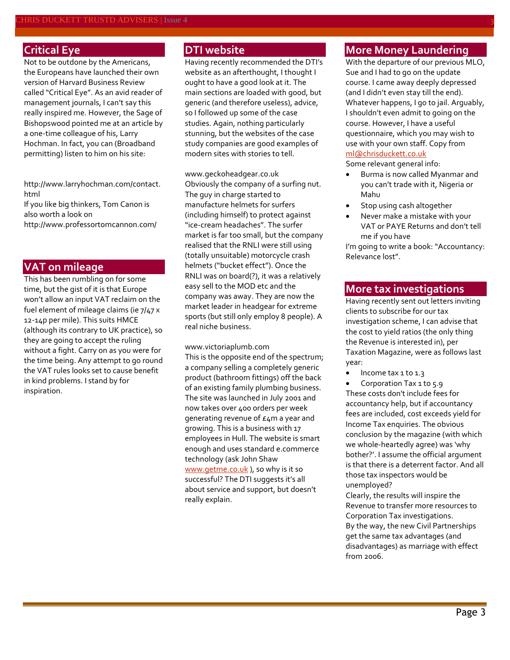### **Critical Eye**

Not to be outdone by the Americans, the Europeans have launched their own version of Harvard Business Review called "Critical Eye". As an avid reader of management journals, I can't say this really inspired me. However, the Sage of Bishopswood pointed me at an article by a one-time colleague of his, Larry Hochman. In fact, you can (Broadband permitting) listen to him on his site:

[http://www.larryhochman.com/contact.](http://www.larryhochman.com/contact.html) [html](http://www.larryhochman.com/contact.html)

If you like big thinkers, Tom Canon is also worth a look on <http://www.professortomcannon.com/>

### **VAT on mileage**

This has been rumbling on for some time, but the gist of it is that Europe won't allow an input VAT reclaim on the fuel element of mileage claims (ie 7/47 x 12-14p per mile). This suits HMCE (although its contrary to UK practice), so they are going to accept the ruling without a fight. Carry on as you were for the time being. Any attempt to go round the VAT rules looks set to cause benefit in kind problems. I stand by for inspiration.

### **DTI website**

Having recently recommended the DTI's website as an afterthought, I thought I ought to have a good look at it. The main sections are loaded with good, but generic (and therefore useless), advice, so I followed up some of the case studies. Again, nothing particularly stunning, but the websites of the case study companies are good examples of modern sites with stories to tell.

[www.geckoheadgear.co.uk](http://www.geckoheadgear.co.uk/) Obviously the company of a surfing nut. The guy in charge started to manufacture helmets for surfers (including himself) to protect against "ice-cream headaches". The surfer market is far too small, but the company realised that the RNLI were still using (totally unsuitable) motorcycle crash helmets ("bucket effect"). Once the RNLI was on board(?), it was a relatively easy sell to the MOD etc and the company was away. They are now the market leader in headgear for extreme sports (but still only employ 8 people). A real niche business.

[www.victoriaplumb.com](http://www.victoriaplumb.com/)

This is the opposite end of the spectrum; a company selling a completely generic product (bathroom fittings) off the back of an existing family plumbing business. The site was launched in July 2001 and now takes over 400 orders per week generating revenue of £4m a year and growing. This is a business with 17 employees in Hull. The website is smart enough and uses standard e.commerce technology (ask John Shaw [www.getme.co.uk](http://www.getme.co.uk/)), so why is it so successful? The DTI suggests it's all about service and support, but doesn't really explain.

### **More Money Laundering**

With the departure of our previous MLO, Sue and I had to go on the update course. I came away deeply depressed (and I didn't even stay till the end). Whatever happens, I go to jail. Arguably, I shouldn't even admit to going on the course. However, I have a useful questionnaire, which you may wish to use with your own staff. Copy from [ml@chrisduckett.co.uk](mailto:ml@chrisduckett.co.uk)

Some relevant general info:

- Burma is now called Myanmar and you can't trade with it, Nigeria or Mahu
- Stop using cash altogether
- Never make a mistake with your VAT or PAYE Returns and don't tell me if you have

I'm going to write a book: "Accountancy: Relevance lost".

#### **More tax investigations**

Having recently sent out letters inviting clients to subscribe for our tax investigation scheme, I can advise that the cost to yield ratios (the only thing the Revenue is interested in), per Taxation Magazine, were as follows last year:

• Income tax 1 to 1.3

• Corporation Tax 1 to 5.9 These costs don't include fees for accountancy help, but if accountancy fees are included, cost exceeds yield for Income Tax enquiries. The obvious conclusion by the magazine (with which we whole-heartedly agree) was 'why bother?'. I assume the official argument is that there is a deterrent factor. And all those tax inspectors would be unemployed?

Clearly, the results will inspire the Revenue to transfer more resources to Corporation Tax investigations. By the way, the new Civil Partnerships get the same tax advantages (and disadvantages) as marriage with effect from 2006.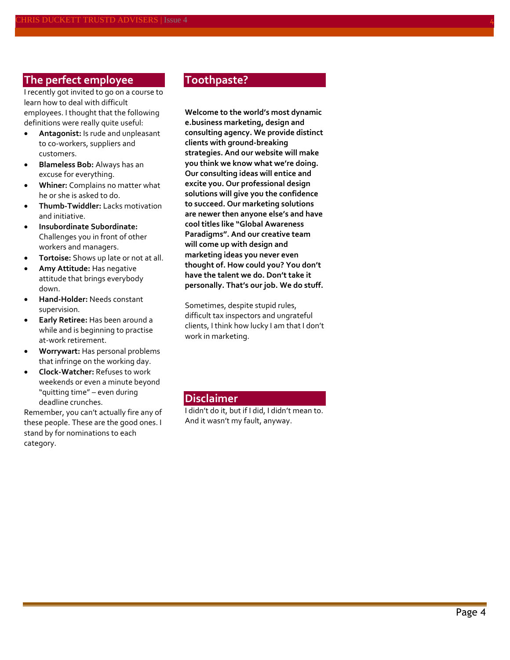### **The perfect employee**

I recently got invited to go on a course to learn how to deal with difficult employees. I thought that the following definitions were really quite useful:

- **Antagonist:** Is rude and unpleasant to co-workers, suppliers and customers.
- **Blameless Bob:** Always has an excuse for everything.
- **Whiner:** Complains no matter what he or she is asked to do.
- **Thumb-Twiddler:** Lacks motivation and initiative.
- **Insubordinate Subordinate:**  Challenges you in front of other workers and managers.
- **Tortoise:** Shows up late or not at all.
- **Amy Attitude:** Has negative attitude that brings everybody down.
- **Hand-Holder:** Needs constant supervision.
- **Early Retiree:** Has been around a while and is beginning to practise at-work retirement.
- **Worrywart:** Has personal problems that infringe on the working day.
- **Clock-Watcher:** Refuses to work weekends or even a minute beyond "quitting time" – even during deadline crunches.

Remember, you can't actually fire any of these people. These are the good ones. I stand by for nominations to each category.

#### **Toothpaste?**

**Welcome to the world's most dynamic e.business marketing, design and consulting agency. We provide distinct clients with ground-breaking strategies. And our website will make you think we know what we're doing. Our consulting ideas will entice and excite you. Our professional design solutions will give you the confidence to succeed. Our marketing solutions are newer then anyone else's and have cool titles like "Global Awareness Paradigms". And our creative team will come up with design and marketing ideas you never even thought of. How could you? You don't have the talent we do. Don't take it personally. That's our job. We do stuff.**

Sometimes, despite stupid rules, difficult tax inspectors and ungrateful clients, I think how lucky I am that I don't work in marketing.

#### **Disclaimer**

I didn't do it, but if I did, I didn't mean to. And it wasn't my fault, anyway.